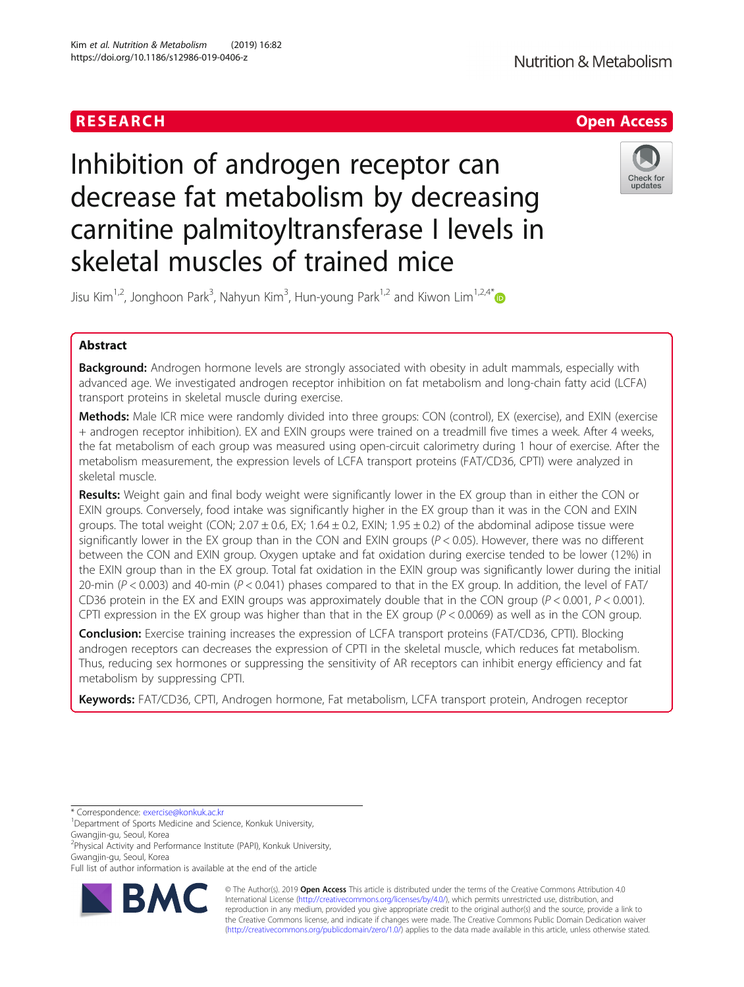

# Inhibition of androgen receptor can decrease fat metabolism by decreasing carnitine palmitoyltransferase I levels in skeletal muscles of trained mice



Jisu Kim<sup>1,2</sup>, Jonghoon Park<sup>3</sup>, Nahyun Kim<sup>3</sup>, Hun-young Park<sup>1,2</sup> and Kiwon Lim<sup>1,2,4\*</sup>

# Abstract

Background: Androgen hormone levels are strongly associated with obesity in adult mammals, especially with advanced age. We investigated androgen receptor inhibition on fat metabolism and long-chain fatty acid (LCFA) transport proteins in skeletal muscle during exercise.

Methods: Male ICR mice were randomly divided into three groups: CON (control), EX (exercise), and EXIN (exercise + androgen receptor inhibition). EX and EXIN groups were trained on a treadmill five times a week. After 4 weeks, the fat metabolism of each group was measured using open-circuit calorimetry during 1 hour of exercise. After the metabolism measurement, the expression levels of LCFA transport proteins (FAT/CD36, CPTI) were analyzed in skeletal muscle.

Results: Weight gain and final body weight were significantly lower in the EX group than in either the CON or EXIN groups. Conversely, food intake was significantly higher in the EX group than it was in the CON and EXIN groups. The total weight (CON;  $2.07 \pm 0.6$ , EX; 1.64  $\pm$  0.2, EXIN; 1.95  $\pm$  0.2) of the abdominal adipose tissue were significantly lower in the EX group than in the CON and EXIN groups  $(P < 0.05)$ . However, there was no different between the CON and EXIN group. Oxygen uptake and fat oxidation during exercise tended to be lower (12%) in the EXIN group than in the EX group. Total fat oxidation in the EXIN group was significantly lower during the initial 20-min ( $P < 0.003$ ) and 40-min ( $P < 0.041$ ) phases compared to that in the EX group. In addition, the level of FAT/ CD36 protein in the EX and EXIN groups was approximately double that in the CON group  $(P < 0.001, P < 0.001)$ . CPTI expression in the EX group was higher than that in the EX group  $(P < 0.0069)$  as well as in the CON group.

Conclusion: Exercise training increases the expression of LCFA transport proteins (FAT/CD36, CPTI). Blocking androgen receptors can decreases the expression of CPTI in the skeletal muscle, which reduces fat metabolism. Thus, reducing sex hormones or suppressing the sensitivity of AR receptors can inhibit energy efficiency and fat metabolism by suppressing CPTI.

Keywords: FAT/CD36, CPTI, Androgen hormone, Fat metabolism, LCFA transport protein, Androgen receptor

Full list of author information is available at the end of the article



© The Author(s). 2019 **Open Access** This article is distributed under the terms of the Creative Commons Attribution 4.0 International License [\(http://creativecommons.org/licenses/by/4.0/](http://creativecommons.org/licenses/by/4.0/)), which permits unrestricted use, distribution, and reproduction in any medium, provided you give appropriate credit to the original author(s) and the source, provide a link to the Creative Commons license, and indicate if changes were made. The Creative Commons Public Domain Dedication waiver [\(http://creativecommons.org/publicdomain/zero/1.0/](http://creativecommons.org/publicdomain/zero/1.0/)) applies to the data made available in this article, unless otherwise stated.

<sup>\*</sup> Correspondence: [exercise@konkuk.ac.kr](mailto:exercise@konkuk.ac.kr) <sup>1</sup>

<sup>&</sup>lt;sup>1</sup>Department of Sports Medicine and Science, Konkuk University,

Gwangjin-gu, Seoul, Korea

<sup>2</sup> Physical Activity and Performance Institute (PAPI), Konkuk University, Gwangjin-gu, Seoul, Korea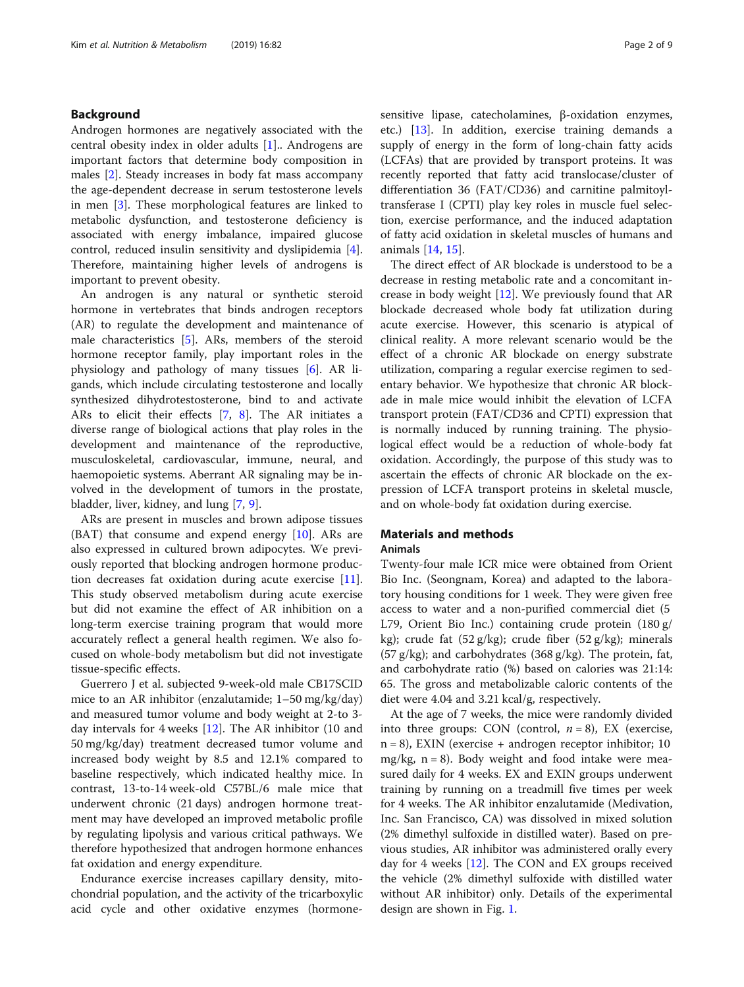# Background

Androgen hormones are negatively associated with the central obesity index in older adults [[1\]](#page-8-0).. Androgens are important factors that determine body composition in males [[2\]](#page-8-0). Steady increases in body fat mass accompany the age-dependent decrease in serum testosterone levels in men [\[3](#page-8-0)]. These morphological features are linked to metabolic dysfunction, and testosterone deficiency is associated with energy imbalance, impaired glucose control, reduced insulin sensitivity and dyslipidemia [\[4](#page-8-0)]. Therefore, maintaining higher levels of androgens is important to prevent obesity.

An androgen is any natural or synthetic steroid hormone in vertebrates that binds androgen receptors (AR) to regulate the development and maintenance of male characteristics [\[5](#page-8-0)]. ARs, members of the steroid hormone receptor family, play important roles in the physiology and pathology of many tissues [[6\]](#page-8-0). AR ligands, which include circulating testosterone and locally synthesized dihydrotestosterone, bind to and activate ARs to elicit their effects [[7](#page-8-0), [8](#page-8-0)]. The AR initiates a diverse range of biological actions that play roles in the development and maintenance of the reproductive, musculoskeletal, cardiovascular, immune, neural, and haemopoietic systems. Aberrant AR signaling may be involved in the development of tumors in the prostate, bladder, liver, kidney, and lung [\[7](#page-8-0), [9](#page-8-0)].

ARs are present in muscles and brown adipose tissues  $(BAT)$  that consume and expend energy  $[10]$ . ARs are also expressed in cultured brown adipocytes. We previously reported that blocking androgen hormone production decreases fat oxidation during acute exercise [\[11](#page-8-0)]. This study observed metabolism during acute exercise but did not examine the effect of AR inhibition on a long-term exercise training program that would more accurately reflect a general health regimen. We also focused on whole-body metabolism but did not investigate tissue-specific effects.

Guerrero J et al. subjected 9-week-old male CB17SCID mice to an AR inhibitor (enzalutamide; 1–50 mg/kg/day) and measured tumor volume and body weight at 2-to 3 day intervals for 4 weeks [\[12](#page-8-0)]. The AR inhibitor (10 and 50 mg/kg/day) treatment decreased tumor volume and increased body weight by 8.5 and 12.1% compared to baseline respectively, which indicated healthy mice. In contrast, 13-to-14 week-old C57BL/6 male mice that underwent chronic (21 days) androgen hormone treatment may have developed an improved metabolic profile by regulating lipolysis and various critical pathways. We therefore hypothesized that androgen hormone enhances fat oxidation and energy expenditure.

Endurance exercise increases capillary density, mitochondrial population, and the activity of the tricarboxylic acid cycle and other oxidative enzymes (hormonesensitive lipase, catecholamines, β-oxidation enzymes, etc.) [\[13\]](#page-8-0). In addition, exercise training demands a supply of energy in the form of long-chain fatty acids (LCFAs) that are provided by transport proteins. It was recently reported that fatty acid translocase/cluster of differentiation 36 (FAT/CD36) and carnitine palmitoyltransferase I (CPTІ) play key roles in muscle fuel selection, exercise performance, and the induced adaptation of fatty acid oxidation in skeletal muscles of humans and animals [\[14,](#page-8-0) [15\]](#page-8-0).

The direct effect of AR blockade is understood to be a decrease in resting metabolic rate and a concomitant increase in body weight [[12](#page-8-0)]. We previously found that AR blockade decreased whole body fat utilization during acute exercise. However, this scenario is atypical of clinical reality. A more relevant scenario would be the effect of a chronic AR blockade on energy substrate utilization, comparing a regular exercise regimen to sedentary behavior. We hypothesize that chronic AR blockade in male mice would inhibit the elevation of LCFA transport protein (FAT/CD36 and CPTІ) expression that is normally induced by running training. The physiological effect would be a reduction of whole-body fat oxidation. Accordingly, the purpose of this study was to ascertain the effects of chronic AR blockade on the expression of LCFA transport proteins in skeletal muscle, and on whole-body fat oxidation during exercise.

# Materials and methods Animals

Twenty-four male ICR mice were obtained from Orient Bio Inc. (Seongnam, Korea) and adapted to the laboratory housing conditions for 1 week. They were given free access to water and a non-purified commercial diet (5 L79, Orient Bio Inc.) containing crude protein (180 g/ kg); crude fat (52 g/kg); crude fiber (52 g/kg); minerals  $(57 \text{ g/kg})$ ; and carbohydrates  $(368 \text{ g/kg})$ . The protein, fat, and carbohydrate ratio (%) based on calories was 21:14: 65. The gross and metabolizable caloric contents of the diet were 4.04 and 3.21 kcal/g, respectively.

At the age of 7 weeks, the mice were randomly divided into three groups: CON (control,  $n = 8$ ), EX (exercise, n = 8), EXIN (exercise + androgen receptor inhibitor; 10 mg/kg,  $n = 8$ ). Body weight and food intake were measured daily for 4 weeks. EX and EXIN groups underwent training by running on a treadmill five times per week for 4 weeks. The AR inhibitor enzalutamide (Medivation, Inc. San Francisco, CA) was dissolved in mixed solution (2% dimethyl sulfoxide in distilled water). Based on previous studies, AR inhibitor was administered orally every day for 4 weeks [\[12](#page-8-0)]. The CON and EX groups received the vehicle (2% dimethyl sulfoxide with distilled water without AR inhibitor) only. Details of the experimental design are shown in Fig. [1.](#page-2-0)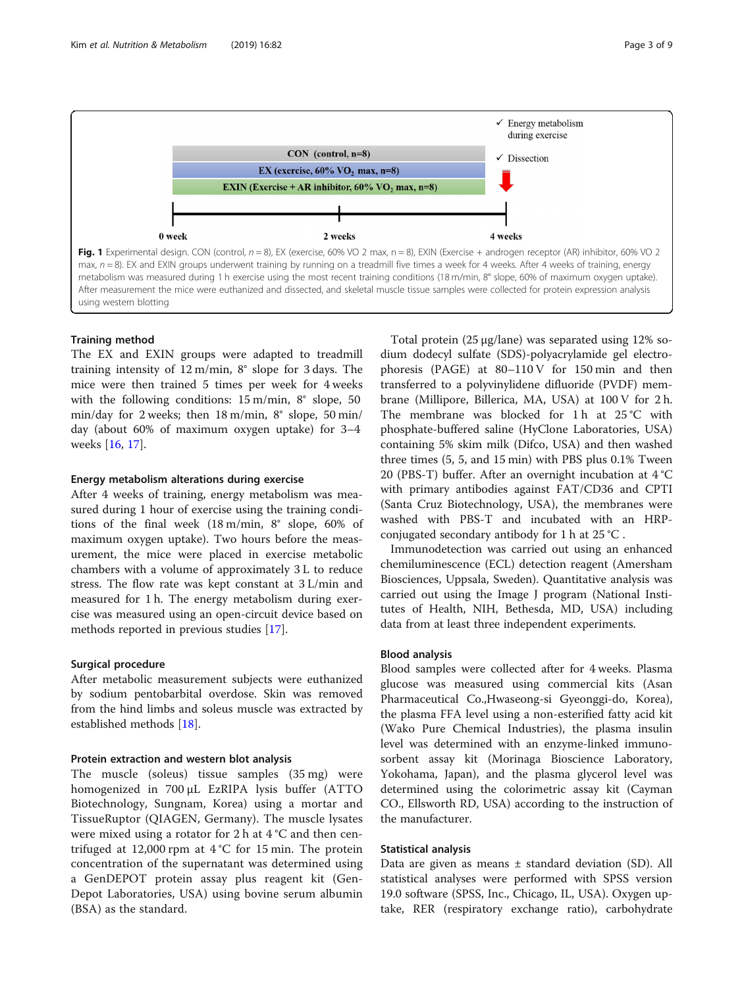<span id="page-2-0"></span>

# Training method

The EX and EXIN groups were adapted to treadmill training intensity of 12 m/min, 8° slope for 3 days. The mice were then trained 5 times per week for 4 weeks with the following conditions: 15 m/min, 8° slope, 50 min/day for 2 weeks; then 18 m/min, 8° slope, 50 min/ day (about 60% of maximum oxygen uptake) for 3–4 weeks [\[16,](#page-8-0) [17\]](#page-8-0).

# Energy metabolism alterations during exercise

After 4 weeks of training, energy metabolism was measured during 1 hour of exercise using the training conditions of the final week (18 m/min, 8° slope, 60% of maximum oxygen uptake). Two hours before the measurement, the mice were placed in exercise metabolic chambers with a volume of approximately 3 L to reduce stress. The flow rate was kept constant at 3 L/min and measured for 1 h. The energy metabolism during exercise was measured using an open-circuit device based on methods reported in previous studies [\[17](#page-8-0)].

# Surgical procedure

After metabolic measurement subjects were euthanized by sodium pentobarbital overdose. Skin was removed from the hind limbs and soleus muscle was extracted by established methods [[18](#page-8-0)].

#### Protein extraction and western blot analysis

The muscle (soleus) tissue samples (35 mg) were homogenized in 700 μL EzRIPA lysis buffer (ATTO Biotechnology, Sungnam, Korea) using a mortar and TissueRuptor (QIAGEN, Germany). The muscle lysates were mixed using a rotator for 2 h at  $4^{\circ}$ C and then centrifuged at 12,000 rpm at 4 °C for 15 min. The protein concentration of the supernatant was determined using a GenDEPOT protein assay plus reagent kit (Gen-Depot Laboratories, USA) using bovine serum albumin (BSA) as the standard.

Total protein (25 μg/lane) was separated using 12% sodium dodecyl sulfate (SDS)-polyacrylamide gel electrophoresis (PAGE) at 80–110 V for 150 min and then transferred to a polyvinylidene difluoride (PVDF) membrane (Millipore, Billerica, MA, USA) at 100 V for 2 h. The membrane was blocked for  $1 h$  at  $25 °C$  with phosphate-buffered saline (HyClone Laboratories, USA) containing 5% skim milk (Difco, USA) and then washed three times (5, 5, and 15 min) with PBS plus 0.1% Tween 20 (PBS-T) buffer. After an overnight incubation at 4 °C with primary antibodies against FAT/CD36 and CPTІ (Santa Cruz Biotechnology, USA), the membranes were washed with PBS-T and incubated with an HRPconjugated secondary antibody for 1 h at 25 °C .

Immunodetection was carried out using an enhanced chemiluminescence (ECL) detection reagent (Amersham Biosciences, Uppsala, Sweden). Quantitative analysis was carried out using the Image J program (National Institutes of Health, NIH, Bethesda, MD, USA) including data from at least three independent experiments.

# Blood analysis

Blood samples were collected after for 4 weeks. Plasma glucose was measured using commercial kits (Asan Pharmaceutical Co.,Hwaseong-si Gyeonggi-do, Korea), the plasma FFA level using a non-esterified fatty acid kit (Wako Pure Chemical Industries), the plasma insulin level was determined with an enzyme-linked immunosorbent assay kit (Morinaga Bioscience Laboratory, Yokohama, Japan), and the plasma glycerol level was determined using the colorimetric assay kit (Cayman CO., Ellsworth RD, USA) according to the instruction of the manufacturer.

# Statistical analysis

Data are given as means  $\pm$  standard deviation (SD). All statistical analyses were performed with SPSS version 19.0 software (SPSS, Inc., Chicago, IL, USA). Oxygen uptake, RER (respiratory exchange ratio), carbohydrate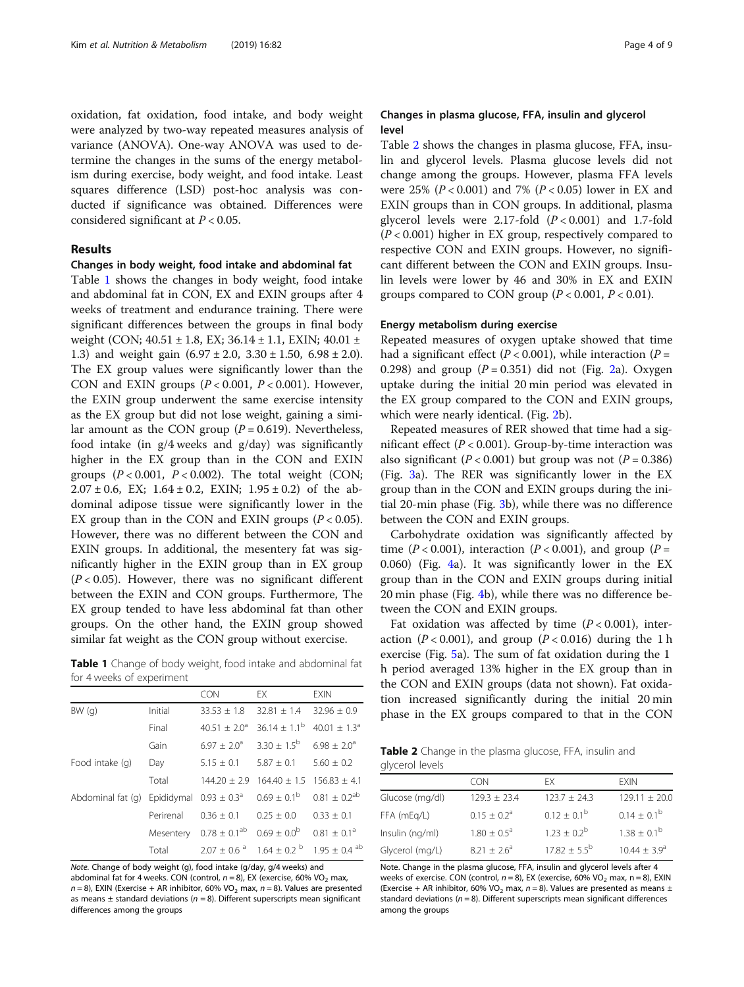oxidation, fat oxidation, food intake, and body weight were analyzed by two-way repeated measures analysis of variance (ANOVA). One-way ANOVA was used to determine the changes in the sums of the energy metabolism during exercise, body weight, and food intake. Least squares difference (LSD) post-hoc analysis was conducted if significance was obtained. Differences were considered significant at  $P < 0.05$ .

# Results

# Changes in body weight, food intake and abdominal fat

Table 1 shows the changes in body weight, food intake and abdominal fat in CON, EX and EXIN groups after 4 weeks of treatment and endurance training. There were significant differences between the groups in final body weight (CON; 40.51 ± 1.8, EX; 36.14 ± 1.1, EXIN; 40.01 ± 1.3) and weight gain  $(6.97 \pm 2.0, 3.30 \pm 1.50, 6.98 \pm 2.0)$ . The EX group values were significantly lower than the CON and EXIN groups  $(P < 0.001, P < 0.001)$ . However, the EXIN group underwent the same exercise intensity as the EX group but did not lose weight, gaining a similar amount as the CON group ( $P = 0.619$ ). Nevertheless, food intake (in g/4 weeks and g/day) was significantly higher in the EX group than in the CON and EXIN groups  $(P < 0.001, P < 0.002)$ . The total weight (CON;  $2.07 \pm 0.6$ , EX;  $1.64 \pm 0.2$ , EXIN;  $1.95 \pm 0.2$ ) of the abdominal adipose tissue were significantly lower in the EX group than in the CON and EXIN groups  $(P < 0.05)$ . However, there was no different between the CON and EXIN groups. In additional, the mesentery fat was significantly higher in the EXIN group than in EX group  $(P < 0.05)$ . However, there was no significant different between the EXIN and CON groups. Furthermore, The EX group tended to have less abdominal fat than other groups. On the other hand, the EXIN group showed similar fat weight as the CON group without exercise.

**Table 1** Change of body weight, food intake and abdominal fat for 4 weeks of experiment

|                   |                             | <b>CON</b>                   | <b>FX</b>              | <b>EXIN</b>                  |
|-------------------|-----------------------------|------------------------------|------------------------|------------------------------|
| BW(q)             | Initial                     | $33.53 + 1.8$                | $32.81 + 1.4$          | $32.96 + 0.9$                |
|                   | Final                       | $40.51 + 2.0a$               | $36.14 \pm 1.1^b$      | 40.01 $\pm$ 1.3 <sup>a</sup> |
|                   | Gain                        | $6.97 + 2.0^{\circ}$         | $3.30 \pm 1.5^{b}$     | $6.98 + 2.0^{\circ}$         |
| Food intake (q)   | Day                         | $5.15 \pm 0.1$               | $5.87 \pm 0.1$         | $5.60 + 0.2$                 |
|                   | Total                       | $144.20 + 2.9$               | $164.40 + 1.5$         | $156.83 + 4.1$               |
| Abdominal fat (q) | Epididymal $0.93 \pm 0.3^a$ |                              | $0.69 \pm 0.1^{\rm b}$ | $0.81 \pm 0.2^{ab}$          |
|                   | Perirenal                   | $0.36 + 0.1$                 | $0.25 + 0.0$           | $0.33 \pm 0.1$               |
|                   | Mesentery                   | $0.78 \pm 0.1$ <sup>ab</sup> | $0.69 + 0.0^{b}$       | $0.81 + 0.1a$                |
|                   | Total                       | $2.07 + 0.6^{\circ}$         | $1.64 + 0.2^{b}$       | $1.95 \pm 0.4$ <sup>ab</sup> |

Note. Change of body weight (g), food intake (g/day, g/4 weeks) and abdominal fat for 4 weeks. CON (control,  $n = 8$ ), EX (exercise, 60% VO<sub>2</sub> max,  $n = 8$ ), EXIN (Exercise + AR inhibitor, 60% VO<sub>2</sub> max,  $n = 8$ ). Values are presented as means  $\pm$  standard deviations ( $n = 8$ ). Different superscripts mean significant differences among the groups

# Changes in plasma glucose, FFA, insulin and glycerol level

Table 2 shows the changes in plasma glucose, FFA, insulin and glycerol levels. Plasma glucose levels did not change among the groups. However, plasma FFA levels were 25% ( $P < 0.001$ ) and 7% ( $P < 0.05$ ) lower in EX and EXIN groups than in CON groups. In additional, plasma glycerol levels were 2.17-fold  $(P < 0.001)$  and 1.7-fold  $(P < 0.001)$  higher in EX group, respectively compared to respective CON and EXIN groups. However, no significant different between the CON and EXIN groups. Insulin levels were lower by 46 and 30% in EX and EXIN groups compared to CON group  $(P < 0.001, P < 0.01)$ .

# Energy metabolism during exercise

Repeated measures of oxygen uptake showed that time had a significant effect ( $P < 0.001$ ), while interaction ( $P =$ 0.298) and group  $(P = 0.351)$  did not (Fig. [2a](#page-4-0)). Oxygen uptake during the initial 20 min period was elevated in the EX group compared to the CON and EXIN groups, which were nearly identical. (Fig. [2](#page-4-0)b).

Repeated measures of RER showed that time had a significant effect ( $P < 0.001$ ). Group-by-time interaction was also significant ( $P < 0.001$ ) but group was not ( $P = 0.386$ ) (Fig. [3a](#page-4-0)). The RER was significantly lower in the EX group than in the CON and EXIN groups during the initial 20-min phase (Fig. [3b](#page-4-0)), while there was no difference between the CON and EXIN groups.

Carbohydrate oxidation was significantly affected by time (P < 0.001), interaction (P < 0.001), and group (P = 0.060) (Fig. [4a](#page-5-0)). It was significantly lower in the EX group than in the CON and EXIN groups during initial 20 min phase (Fig. [4b](#page-5-0)), while there was no difference between the CON and EXIN groups.

Fat oxidation was affected by time  $(P < 0.001)$ , interaction ( $P < 0.001$ ), and group ( $P < 0.016$ ) during the 1 h exercise (Fig. [5](#page-6-0)a). The sum of fat oxidation during the 1 h period averaged 13% higher in the EX group than in the CON and EXIN groups (data not shown). Fat oxidation increased significantly during the initial 20 min phase in the EX groups compared to that in the CON

Table 2 Change in the plasma glucose, FFA, insulin and glycerol levels

|                 | CON                  | FX.                     | <b>FXIN</b>             |
|-----------------|----------------------|-------------------------|-------------------------|
| Glucose (mg/dl) | $129.3 + 23.4$       | $123.7 + 24.3$          | $129.11 \pm 20.0$       |
| FFA (mEg/L)     | $0.15 + 0.2^{\circ}$ | $0.12 + 0.1^b$          | $0.14 + 0.1^b$          |
| Insulin (ng/ml) | $1.80 + 0.5^{\circ}$ | $1.23 + 0.2^b$          | $1.38 + 0.1^b$          |
| Glycerol (mg/L) | $8.21 + 2.6^a$       | $17.82 \pm 5.5^{\rm b}$ | $10.44 \pm 3.9^{\circ}$ |

Note. Change in the plasma glucose, FFA, insulin and glycerol levels after 4 weeks of exercise. CON (control,  $n = 8$ ), EX (exercise, 60% VO<sub>2</sub> max,  $n = 8$ ), EXIN (Exercise + AR inhibitor, 60% VO<sub>2</sub> max,  $n = 8$ ). Values are presented as means  $\pm$ standard deviations ( $n = 8$ ). Different superscripts mean significant differences among the groups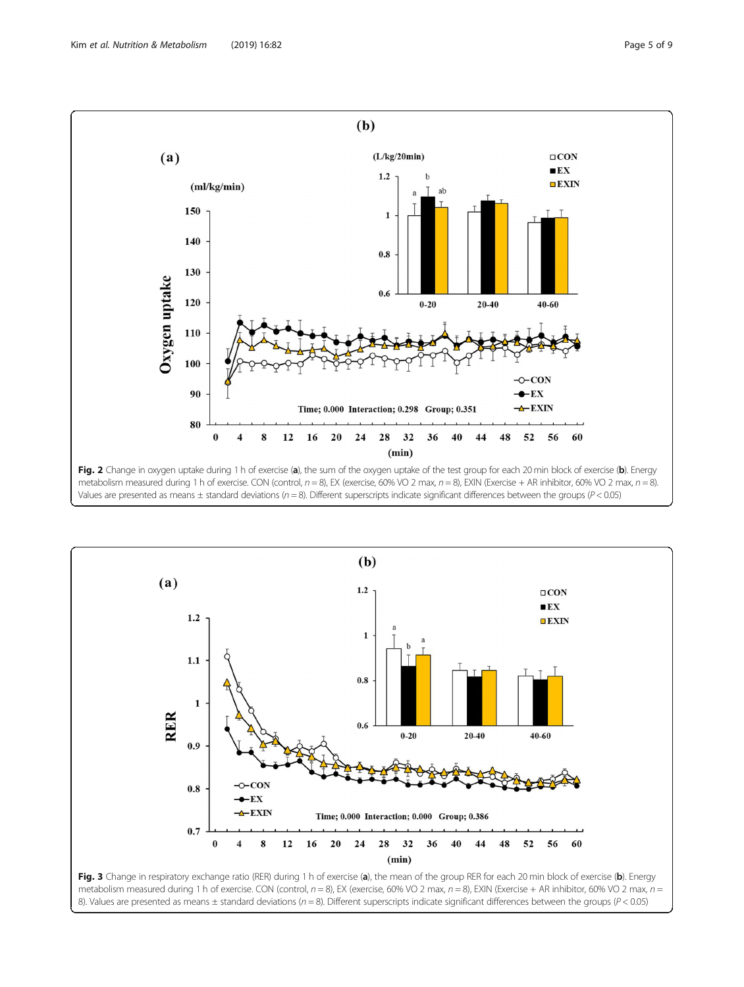<span id="page-4-0"></span>

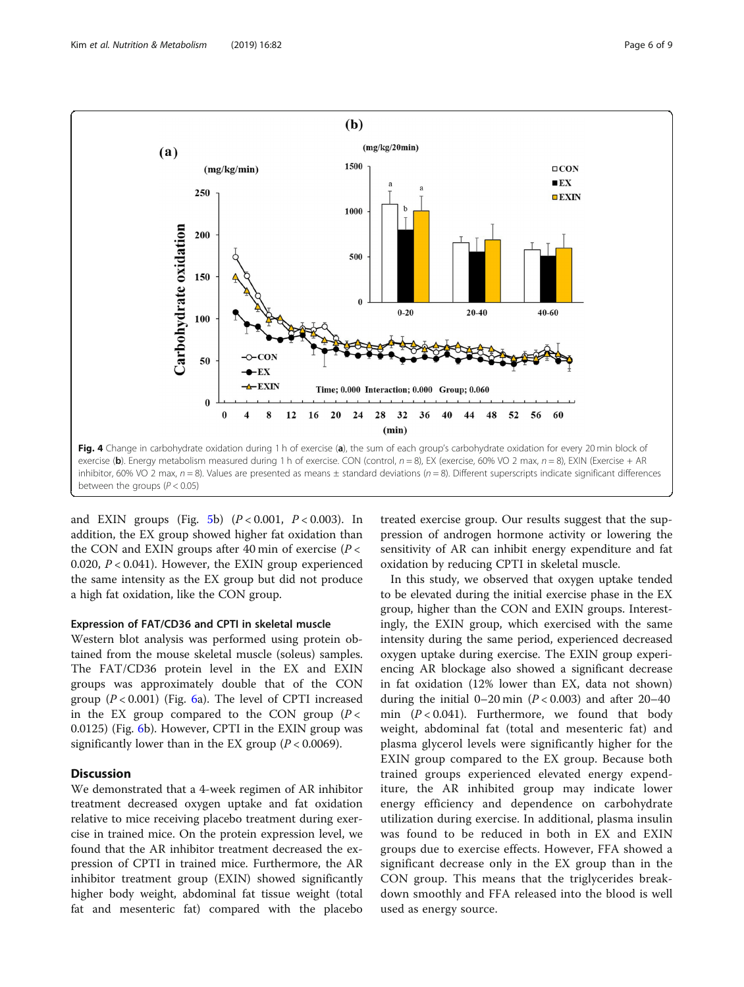<span id="page-5-0"></span>

and EXIN groups (Fig. [5b](#page-6-0))  $(P < 0.001, P < 0.003)$ . In addition, the EX group showed higher fat oxidation than the CON and EXIN groups after 40 min of exercise ( $P <$ 0.020,  $P < 0.041$ ). However, the EXIN group experienced the same intensity as the EX group but did not produce a high fat oxidation, like the CON group.

# Expression of FAT/CD36 and CPTІ in skeletal muscle

Western blot analysis was performed using protein obtained from the mouse skeletal muscle (soleus) samples. The FAT/CD36 protein level in the EX and EXIN groups was approximately double that of the CON group  $(P < 0.001)$  (Fig. [6](#page-6-0)a). The level of CPTI increased in the EX group compared to the CON group  $(P <$ 0.0125) (Fig. [6](#page-6-0)b). However, CPTI in the EXIN group was significantly lower than in the EX group  $(P < 0.0069)$ .

# **Discussion**

We demonstrated that a 4-week regimen of AR inhibitor treatment decreased oxygen uptake and fat oxidation relative to mice receiving placebo treatment during exercise in trained mice. On the protein expression level, we found that the AR inhibitor treatment decreased the expression of CPTІ in trained mice. Furthermore, the AR inhibitor treatment group (EXIN) showed significantly higher body weight, abdominal fat tissue weight (total fat and mesenteric fat) compared with the placebo treated exercise group. Our results suggest that the suppression of androgen hormone activity or lowering the sensitivity of AR can inhibit energy expenditure and fat oxidation by reducing CPTІ in skeletal muscle.

In this study, we observed that oxygen uptake tended to be elevated during the initial exercise phase in the EX group, higher than the CON and EXIN groups. Interestingly, the EXIN group, which exercised with the same intensity during the same period, experienced decreased oxygen uptake during exercise. The EXIN group experiencing AR blockage also showed a significant decrease in fat oxidation (12% lower than EX, data not shown) during the initial  $0-20$  min ( $P < 0.003$ ) and after 20-40 min  $(P < 0.041)$ . Furthermore, we found that body weight, abdominal fat (total and mesenteric fat) and plasma glycerol levels were significantly higher for the EXIN group compared to the EX group. Because both trained groups experienced elevated energy expenditure, the AR inhibited group may indicate lower energy efficiency and dependence on carbohydrate utilization during exercise. In additional, plasma insulin was found to be reduced in both in EX and EXIN groups due to exercise effects. However, FFA showed a significant decrease only in the EX group than in the CON group. This means that the triglycerides breakdown smoothly and FFA released into the blood is well used as energy source.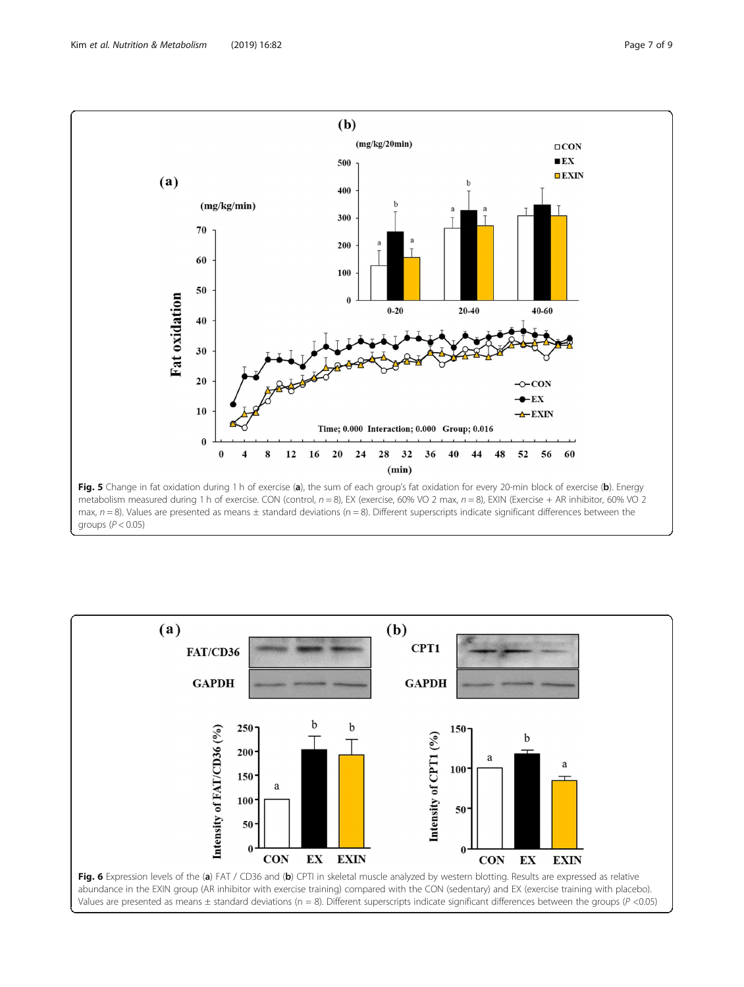<span id="page-6-0"></span>

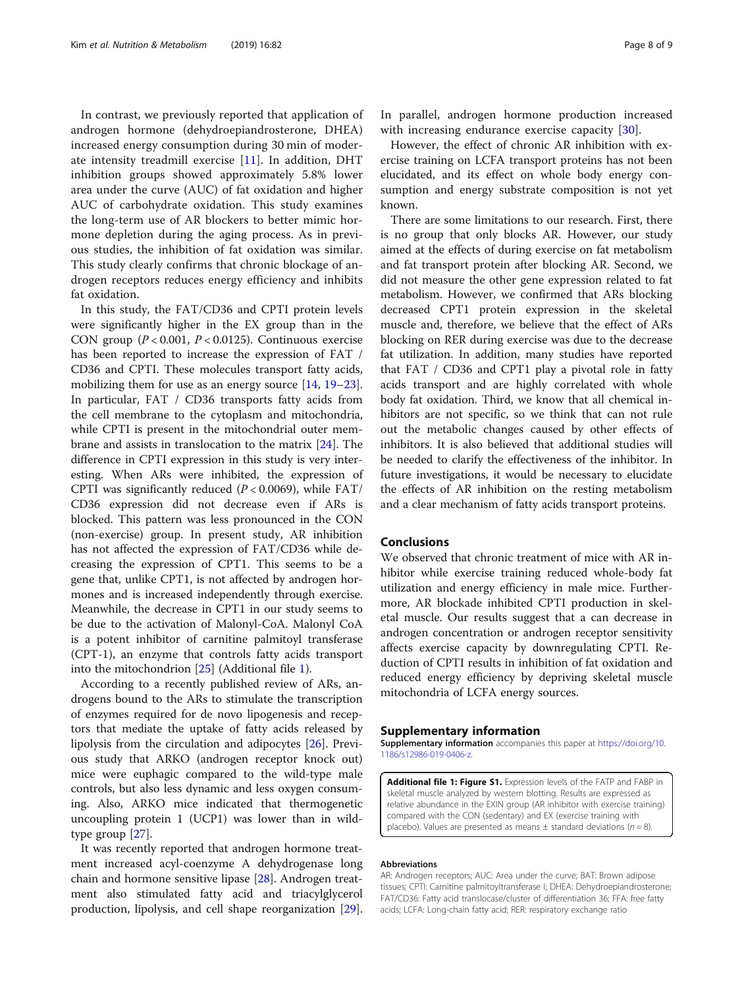In contrast, we previously reported that application of androgen hormone (dehydroepiandrosterone, DHEA) increased energy consumption during 30 min of moderate intensity treadmill exercise [\[11](#page-8-0)]. In addition, DHT inhibition groups showed approximately 5.8% lower area under the curve (AUC) of fat oxidation and higher AUC of carbohydrate oxidation. This study examines the long-term use of AR blockers to better mimic hormone depletion during the aging process. As in previous studies, the inhibition of fat oxidation was similar. This study clearly confirms that chronic blockage of androgen receptors reduces energy efficiency and inhibits fat oxidation.

In this study, the FAT/CD36 and CPTІ protein levels were significantly higher in the EX group than in the CON group  $(P < 0.001, P < 0.0125)$ . Continuous exercise has been reported to increase the expression of FAT / CD36 and CPTІ. These molecules transport fatty acids, mobilizing them for use as an energy source [[14,](#page-8-0) [19](#page-8-0)–[23](#page-8-0)]. In particular, FAT / CD36 transports fatty acids from the cell membrane to the cytoplasm and mitochondria, while CPTІ is present in the mitochondrial outer membrane and assists in translocation to the matrix [\[24](#page-8-0)]. The difference in CPTI expression in this study is very interesting. When ARs were inhibited, the expression of CPTI was significantly reduced  $(P < 0.0069)$ , while FAT/ CD36 expression did not decrease even if ARs is blocked. This pattern was less pronounced in the CON (non-exercise) group. In present study, AR inhibition has not affected the expression of FAT/CD36 while decreasing the expression of CPT1. This seems to be a gene that, unlike CPT1, is not affected by androgen hormones and is increased independently through exercise. Meanwhile, the decrease in CPT1 in our study seems to be due to the activation of Malonyl-CoA. Malonyl CoA is a potent inhibitor of carnitine palmitoyl transferase (CPT-1), an enzyme that controls fatty acids transport into the mitochondrion [\[25\]](#page-8-0) (Additional file 1).

According to a recently published review of ARs, androgens bound to the ARs to stimulate the transcription of enzymes required for de novo lipogenesis and receptors that mediate the uptake of fatty acids released by lipolysis from the circulation and adipocytes [[26](#page-8-0)]. Previous study that ARKO (androgen receptor knock out) mice were euphagic compared to the wild-type male controls, but also less dynamic and less oxygen consuming. Also, ARKO mice indicated that thermogenetic uncoupling protein 1 (UCP1) was lower than in wildtype group [[27\]](#page-8-0).

It was recently reported that androgen hormone treatment increased acyl-coenzyme A dehydrogenase long chain and hormone sensitive lipase [\[28](#page-8-0)]. Androgen treatment also stimulated fatty acid and triacylglycerol production, lipolysis, and cell shape reorganization [\[29](#page-8-0)]. In parallel, androgen hormone production increased with increasing endurance exercise capacity [\[30](#page-8-0)].

However, the effect of chronic AR inhibition with exercise training on LCFA transport proteins has not been elucidated, and its effect on whole body energy consumption and energy substrate composition is not yet known.

There are some limitations to our research. First, there is no group that only blocks AR. However, our study aimed at the effects of during exercise on fat metabolism and fat transport protein after blocking AR. Second, we did not measure the other gene expression related to fat metabolism. However, we confirmed that ARs blocking decreased CPT1 protein expression in the skeletal muscle and, therefore, we believe that the effect of ARs blocking on RER during exercise was due to the decrease fat utilization. In addition, many studies have reported that FAT / CD36 and CPT1 play a pivotal role in fatty acids transport and are highly correlated with whole body fat oxidation. Third, we know that all chemical inhibitors are not specific, so we think that can not rule out the metabolic changes caused by other effects of inhibitors. It is also believed that additional studies will be needed to clarify the effectiveness of the inhibitor. In future investigations, it would be necessary to elucidate the effects of AR inhibition on the resting metabolism and a clear mechanism of fatty acids transport proteins.

# Conclusions

We observed that chronic treatment of mice with AR inhibitor while exercise training reduced whole-body fat utilization and energy efficiency in male mice. Furthermore, AR blockade inhibited CPTІ production in skeletal muscle. Our results suggest that a can decrease in androgen concentration or androgen receptor sensitivity affects exercise capacity by downregulating CPTІ. Reduction of CPTI results in inhibition of fat oxidation and reduced energy efficiency by depriving skeletal muscle mitochondria of LCFA energy sources.

# Supplementary information

Supplementary information accompanies this paper at [https://doi.org/10.](https://doi.org/10.1186/s12986-019-0406-z) [1186/s12986-019-0406-z](https://doi.org/10.1186/s12986-019-0406-z).

Additional file 1: Figure S1. Expression levels of the FATP and FABP in skeletal muscle analyzed by western blotting. Results are expressed as relative abundance in the EXIN group (AR inhibitor with exercise training) compared with the CON (sedentary) and EX (exercise training with placebo). Values are presented as means  $+$  standard deviations ( $n = 8$ ).

#### Abbreviations

AR: Androgen receptors; AUC: Area under the curve; BAT: Brown adipose tissues; CPTI: Carnitine palmitoyltransferase I; DHEA: Dehydroepiandrosterone; FAT/CD36: Fatty acid translocase/cluster of differentiation 36; FFA: free fatty acids; LCFA: Long-chain fatty acid; RER: respiratory exchange ratio